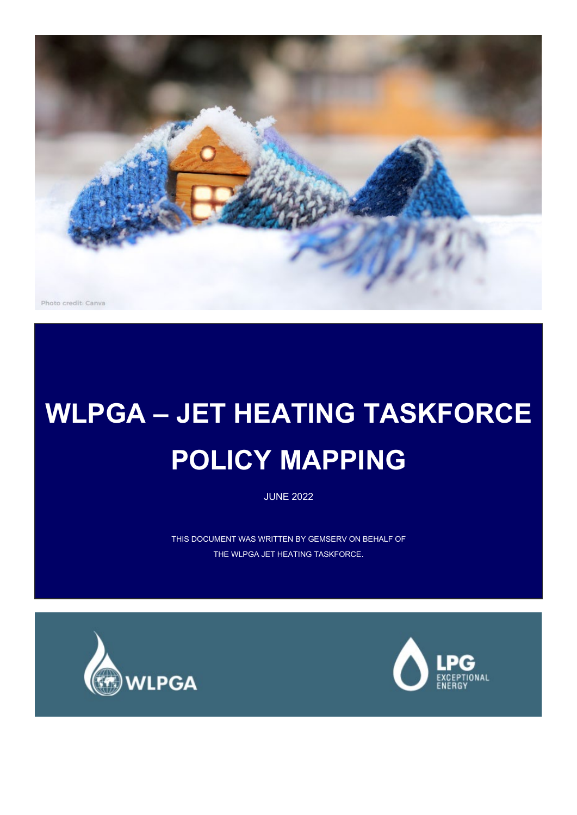

# **WLPGA – JET HEATING TASKFORCE POLICY MAPPING**

JUNE 2022

THIS DOCUMENT WAS WRITTEN BY GEMSERV ON BEHALF OF THE WLPGA JET HEATING TASKFORCE.



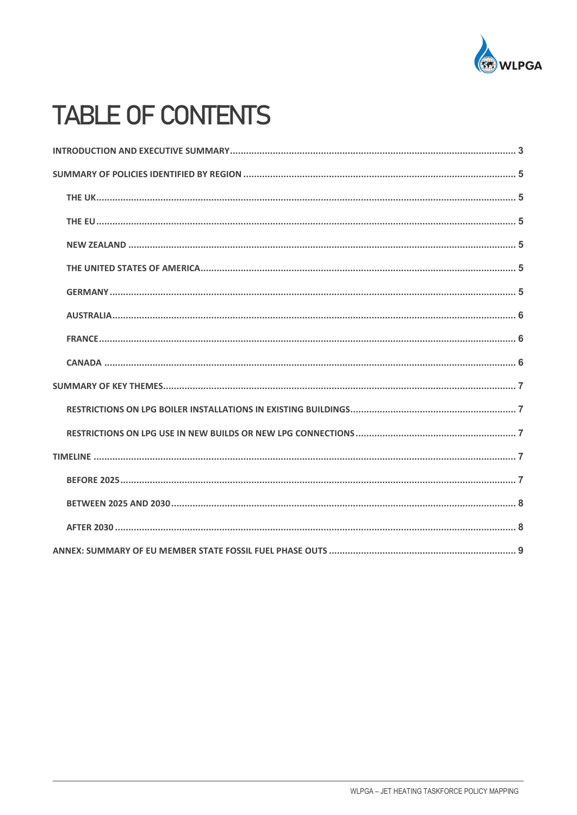

## **TABLE OF CONTENTS**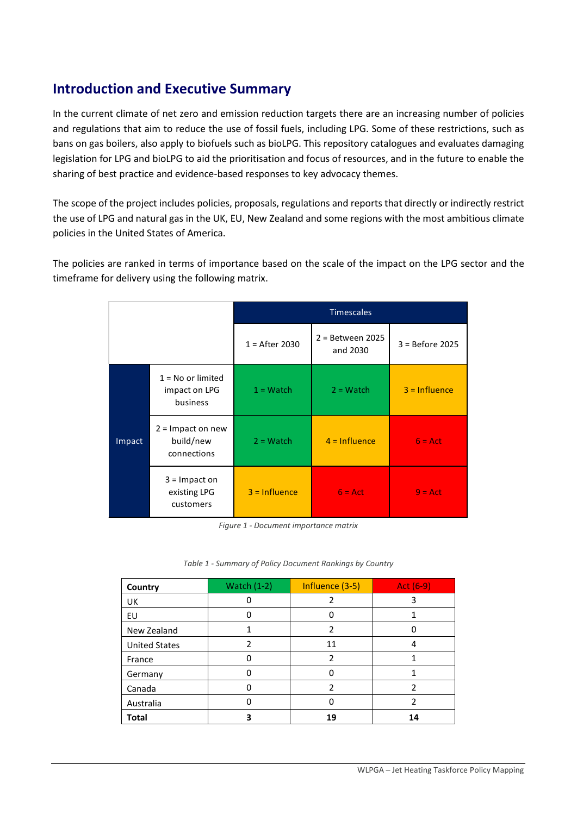## <span id="page-2-0"></span>**Introduction and Executive Summary**

In the current climate of net zero and emission reduction targets there are an increasing number of policies and regulations that aim to reduce the use of fossil fuels, including LPG. Some of these restrictions, such as bans on gas boilers, also apply to biofuels such as bioLPG. This repository catalogues and evaluates damaging legislation for LPG and bioLPG to aid the prioritisation and focus of resources, and in the future to enable the sharing of best practice and evidence-based responses to key advocacy themes.

The scope of the project includes policies, proposals, regulations and reports that directly or indirectly restrict the use of LPG and natural gas in the UK, EU, New Zealand and some regions with the most ambitious climate policies in the United States of America.

The policies are ranked in terms of importance based on the scale of the impact on the LPG sector and the timeframe for delivery using the following matrix.

|        |                                                  | <b>Timescales</b> |                                |                   |  |  |
|--------|--------------------------------------------------|-------------------|--------------------------------|-------------------|--|--|
|        |                                                  | $1 =$ After 2030  | $2 =$ Between 2025<br>and 2030 | $3 = Before 2025$ |  |  |
| Impact | $1 = No$ or limited<br>impact on LPG<br>business | $1 = Watch$       | $2 = Watch$                    | $3 = Influence$   |  |  |
|        | $2 =$ Impact on new<br>build/new<br>connections  | $2 = Watch$       | $4 = Influence$                | $6 = Act$         |  |  |
|        | $3 =$ Impact on<br>existing LPG<br>customers     | $3 = Influence$   | $6 = Act$                      | $9 = Act$         |  |  |

*Figure 1 - Document importance matrix*

| Table 1 - Summary of Policy Document Rankings by Country |  |  |  |
|----------------------------------------------------------|--|--|--|
|                                                          |  |  |  |

| Country              | <b>Watch (1-2)</b> | Influence (3-5) | Act (6-9) |
|----------------------|--------------------|-----------------|-----------|
| UK                   |                    |                 | 3         |
| EU                   | Ω                  | O               |           |
| New Zealand          |                    | $\mathcal{P}$   |           |
| <b>United States</b> | 2                  | 11              |           |
| France               |                    | $\mathcal{P}$   |           |
| Germany              | n                  |                 |           |
| Canada               | O                  | $\mathcal{P}$   | 2         |
| Australia<br>0       |                    | ŋ               | 2         |
| <b>Total</b>         |                    | 19              | 14        |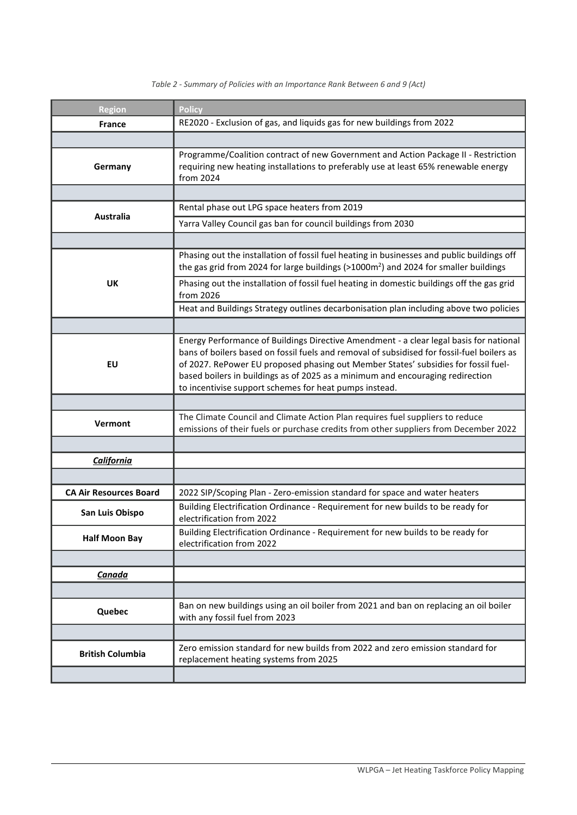| <b>Region</b>                 | <b>Policy</b>                                                                                                                                                                                                                                                                                                                                                                                                          |  |  |  |
|-------------------------------|------------------------------------------------------------------------------------------------------------------------------------------------------------------------------------------------------------------------------------------------------------------------------------------------------------------------------------------------------------------------------------------------------------------------|--|--|--|
| <b>France</b>                 | RE2020 - Exclusion of gas, and liquids gas for new buildings from 2022                                                                                                                                                                                                                                                                                                                                                 |  |  |  |
|                               |                                                                                                                                                                                                                                                                                                                                                                                                                        |  |  |  |
| Germany                       | Programme/Coalition contract of new Government and Action Package II - Restriction<br>requiring new heating installations to preferably use at least 65% renewable energy<br>from 2024                                                                                                                                                                                                                                 |  |  |  |
|                               |                                                                                                                                                                                                                                                                                                                                                                                                                        |  |  |  |
| Australia                     | Rental phase out LPG space heaters from 2019                                                                                                                                                                                                                                                                                                                                                                           |  |  |  |
|                               | Yarra Valley Council gas ban for council buildings from 2030                                                                                                                                                                                                                                                                                                                                                           |  |  |  |
|                               |                                                                                                                                                                                                                                                                                                                                                                                                                        |  |  |  |
|                               | Phasing out the installation of fossil fuel heating in businesses and public buildings off<br>the gas grid from 2024 for large buildings (>1000m <sup>2</sup> ) and 2024 for smaller buildings                                                                                                                                                                                                                         |  |  |  |
| UK                            | Phasing out the installation of fossil fuel heating in domestic buildings off the gas grid<br>from 2026                                                                                                                                                                                                                                                                                                                |  |  |  |
|                               | Heat and Buildings Strategy outlines decarbonisation plan including above two policies                                                                                                                                                                                                                                                                                                                                 |  |  |  |
|                               |                                                                                                                                                                                                                                                                                                                                                                                                                        |  |  |  |
| EU                            | Energy Performance of Buildings Directive Amendment - a clear legal basis for national<br>bans of boilers based on fossil fuels and removal of subsidised for fossil-fuel boilers as<br>of 2027. RePower EU proposed phasing out Member States' subsidies for fossil fuel-<br>based boilers in buildings as of 2025 as a minimum and encouraging redirection<br>to incentivise support schemes for heat pumps instead. |  |  |  |
|                               |                                                                                                                                                                                                                                                                                                                                                                                                                        |  |  |  |
| Vermont                       | The Climate Council and Climate Action Plan requires fuel suppliers to reduce<br>emissions of their fuels or purchase credits from other suppliers from December 2022                                                                                                                                                                                                                                                  |  |  |  |
|                               |                                                                                                                                                                                                                                                                                                                                                                                                                        |  |  |  |
| <b>California</b>             |                                                                                                                                                                                                                                                                                                                                                                                                                        |  |  |  |
|                               |                                                                                                                                                                                                                                                                                                                                                                                                                        |  |  |  |
| <b>CA Air Resources Board</b> | 2022 SIP/Scoping Plan - Zero-emission standard for space and water heaters                                                                                                                                                                                                                                                                                                                                             |  |  |  |
| San Luis Obispo               | Building Electrification Ordinance - Requirement for new builds to be ready for<br>electrification from 2022                                                                                                                                                                                                                                                                                                           |  |  |  |
| <b>Half Moon Bay</b>          | Building Electrification Ordinance - Requirement for new builds to be ready for<br>electrification from 2022                                                                                                                                                                                                                                                                                                           |  |  |  |
|                               |                                                                                                                                                                                                                                                                                                                                                                                                                        |  |  |  |
| Canada                        |                                                                                                                                                                                                                                                                                                                                                                                                                        |  |  |  |
|                               |                                                                                                                                                                                                                                                                                                                                                                                                                        |  |  |  |
| Quebec                        | Ban on new buildings using an oil boiler from 2021 and ban on replacing an oil boiler<br>with any fossil fuel from 2023                                                                                                                                                                                                                                                                                                |  |  |  |
|                               |                                                                                                                                                                                                                                                                                                                                                                                                                        |  |  |  |
| <b>British Columbia</b>       | Zero emission standard for new builds from 2022 and zero emission standard for<br>replacement heating systems from 2025                                                                                                                                                                                                                                                                                                |  |  |  |
|                               |                                                                                                                                                                                                                                                                                                                                                                                                                        |  |  |  |

*Table 2 - Summary of Policies with an Importance Rank Between 6 and 9 (Act)*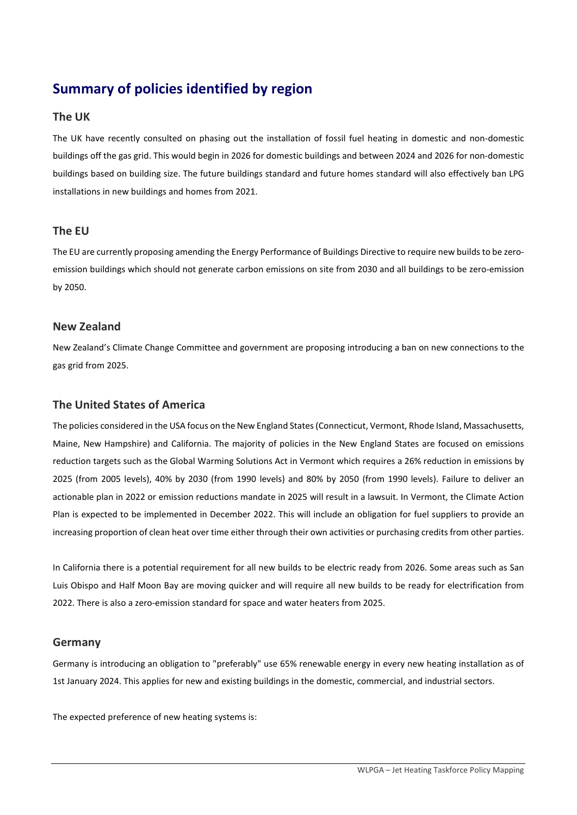## <span id="page-4-0"></span>**Summary of policies identified by region**

#### <span id="page-4-1"></span>**The UK**

The UK have recently consulted on phasing out the installation of fossil fuel heating in domestic and non-domestic buildings off the gas grid. This would begin in 2026 for domestic buildings and between 2024 and 2026 for non-domestic buildings based on building size. The future buildings standard and future homes standard will also effectively ban LPG installations in new buildings and homes from 2021.

#### <span id="page-4-2"></span>**The EU**

The EU are currently proposing amending the Energy Performance of Buildings Directive to require new builds to be zeroemission buildings which should not generate carbon emissions on site from 2030 and all buildings to be zero-emission by 2050.

#### <span id="page-4-3"></span>**New Zealand**

New Zealand's Climate Change Committee and government are proposing introducing a ban on new connections to the gas grid from 2025.

#### <span id="page-4-4"></span>**The United States of America**

The policies considered in the USA focus on the New England States (Connecticut, Vermont, Rhode Island, Massachusetts, Maine, New Hampshire) and California. The majority of policies in the New England States are focused on emissions reduction targets such as the Global Warming Solutions Act in Vermont which requires a 26% reduction in emissions by 2025 (from 2005 levels), 40% by 2030 (from 1990 levels) and 80% by 2050 (from 1990 levels). Failure to deliver an actionable plan in 2022 or emission reductions mandate in 2025 will result in a lawsuit. In Vermont, the Climate Action Plan is expected to be implemented in December 2022. This will include an obligation for fuel suppliers to provide an increasing proportion of clean heat over time either through their own activities or purchasing credits from other parties.

In California there is a potential requirement for all new builds to be electric ready from 2026. Some areas such as San Luis Obispo and Half Moon Bay are moving quicker and will require all new builds to be ready for electrification from 2022. There is also a zero-emission standard for space and water heaters from 2025.

#### <span id="page-4-5"></span>**Germany**

Germany is introducing an obligation to "preferably" use 65% renewable energy in every new heating installation as of 1st January 2024. This applies for new and existing buildings in the domestic, commercial, and industrial sectors.

The expected preference of new heating systems is: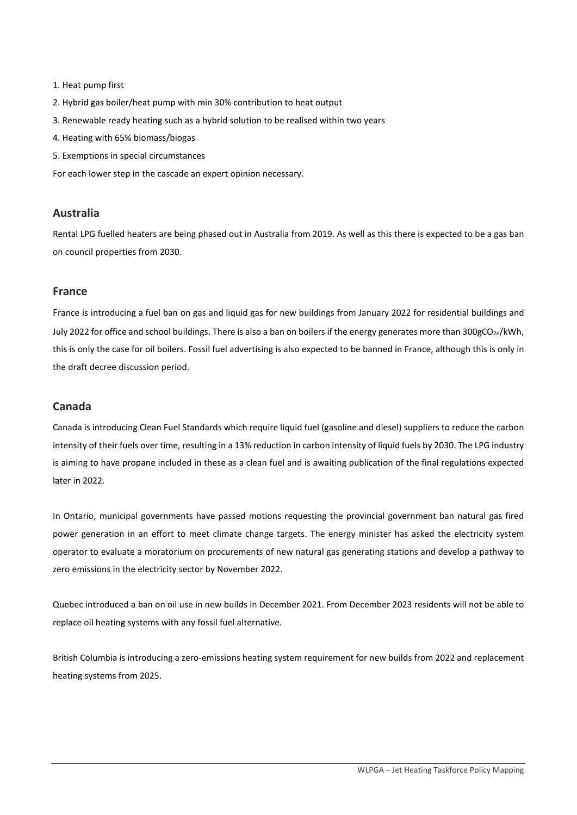#### 1. Heat pump first

- 2. Hybrid gas boiler/heat pump with min 30% contribution to heat output
- 3. Renewable ready heating such as a hybrid solution to be realised within two years
- 4. Heating with 65% biomass/biogas
- 5. Exemptions in special circumstances

For each lower step in the cascade an expert opinion necessary.

#### <span id="page-5-0"></span>**Australia**

Rental LPG fuelled heaters are being phased out in Australia from 2019. As well as this there is expected to be a gas ban on council properties from 2030.

#### <span id="page-5-1"></span>**France**

France is introducing a fuel ban on gas and liquid gas for new buildings from January 2022 for residential buildings and July 2022 for office and school buildings. There is also a ban on boilers if the energy generates more than 300gCO<sub>2e</sub>/kWh, this is only the case for oil boilers. Fossil fuel advertising is also expected to be banned in France, although this is only in the draft decree discussion period.

#### <span id="page-5-2"></span>**Canada**

Canada is introducing Clean Fuel Standards which require liquid fuel (gasoline and diesel) suppliers to reduce the carbon intensity of their fuels over time, resulting in a 13% reduction in carbon intensity of liquid fuels by 2030. The LPG industry is aiming to have propane included in these as a clean fuel and is awaiting publication of the final regulations expected later in 2022.

In Ontario, municipal governments have passed motions requesting the provincial government ban natural gas fired power generation in an effort to meet climate change targets. The energy minister has asked the electricity system operator to evaluate a moratorium on procurements of new natural gas generating stations and develop a pathway to zero emissions in the electricity sector by November 2022.

Quebec introduced a ban on oil use in new builds in December 2021. From December 2023 residents will not be able to replace oil heating systems with any fossil fuel alternative.

British Columbia is introducing a zero-emissions heating system requirement for new builds from 2022 and replacement heating systems from 2025.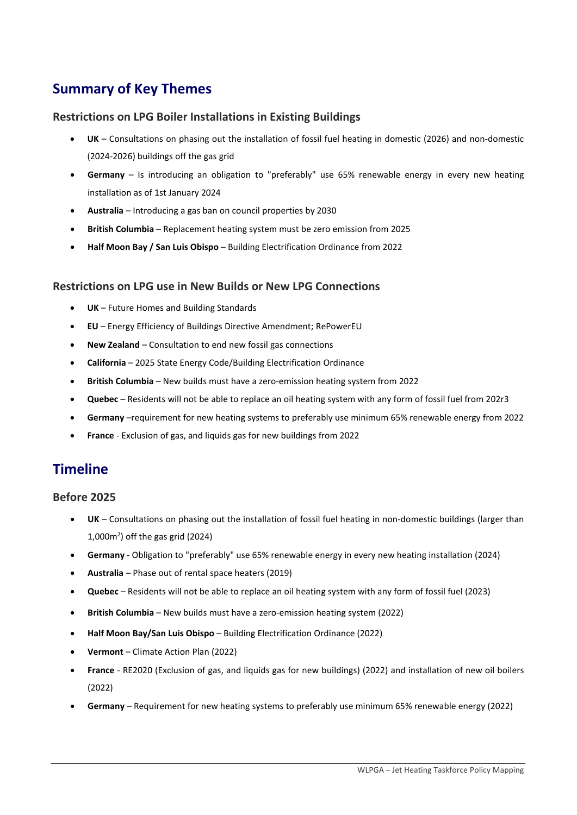## <span id="page-6-0"></span>**Summary of Key Themes**

#### <span id="page-6-1"></span>**Restrictions on LPG Boiler Installations in Existing Buildings**

- **UK** Consultations on phasing out the installation of fossil fuel heating in domestic (2026) and non-domestic (2024-2026) buildings off the gas grid
- **Germany** Is introducing an obligation to "preferably" use 65% renewable energy in every new heating installation as of 1st January 2024
- **Australia** Introducing a gas ban on council properties by 2030
- **British Columbia** Replacement heating system must be zero emission from 2025
- **Half Moon Bay / San Luis Obispo** Building Electrification Ordinance from 2022

#### <span id="page-6-2"></span>**Restrictions on LPG use in New Builds or New LPG Connections**

- **UK**  Future Homes and Building Standards
- **EU** Energy Efficiency of Buildings Directive Amendment; RePowerEU
- **New Zealand** Consultation to end new fossil gas connections
- **California** 2025 State Energy Code/Building Electrification Ordinance
- **British Columbia** New builds must have a zero-emission heating system from 2022
- **Quebec** Residents will not be able to replace an oil heating system with any form of fossil fuel from 202r3
- **Germany** –requirement for new heating systems to preferably use minimum 65% renewable energy from 2022
- **France** Exclusion of gas, and liquids gas for new buildings from 2022

### <span id="page-6-3"></span>**Timeline**

#### <span id="page-6-4"></span>**Before 2025**

- **UK** Consultations on phasing out the installation of fossil fuel heating in non-domestic buildings (larger than 1,000m2 ) off the gas grid (2024)
- **Germany** Obligation to "preferably" use 65% renewable energy in every new heating installation (2024)
- **Australia** Phase out of rental space heaters (2019)
- **Quebec**  Residents will not be able to replace an oil heating system with any form of fossil fuel (2023)
- **British Columbia** New builds must have a zero-emission heating system (2022)
- **Half Moon Bay/San Luis Obispo** Building Electrification Ordinance (2022)
- **Vermont**  Climate Action Plan (2022)
- **France** RE2020 (Exclusion of gas, and liquids gas for new buildings) (2022) and installation of new oil boilers (2022)
- **Germany**  Requirement for new heating systems to preferably use minimum 65% renewable energy (2022)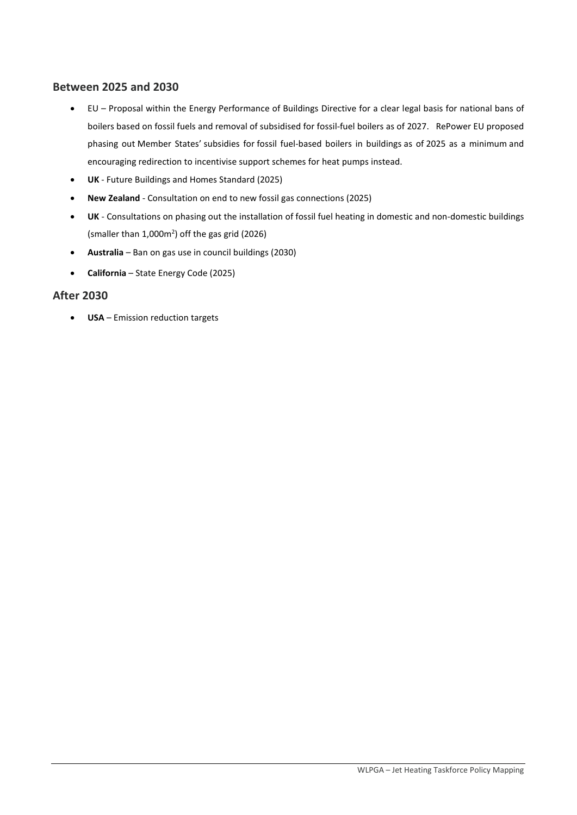#### <span id="page-7-0"></span>**Between 2025 and 2030**

- EU Proposal within the Energy Performance of Buildings Directive for a clear legal basis for national bans of boilers based on fossil fuels and removal of subsidised for fossil-fuel boilers as of 2027. RePower EU proposed phasing out Member States' subsidies for fossil fuel-based boilers in buildings as of 2025 as a minimum and encouraging redirection to incentivise support schemes for heat pumps instead.
- **UK** Future Buildings and Homes Standard (2025)
- **New Zealand** Consultation on end to new fossil gas connections (2025)
- **UK**  Consultations on phasing out the installation of fossil fuel heating in domestic and non-domestic buildings (smaller than 1,000m<sup>2</sup>) off the gas grid (2026)
- **Australia**  Ban on gas use in council buildings (2030)
- **California** State Energy Code (2025)

#### <span id="page-7-1"></span>**After 2030**

• **USA** – Emission reduction targets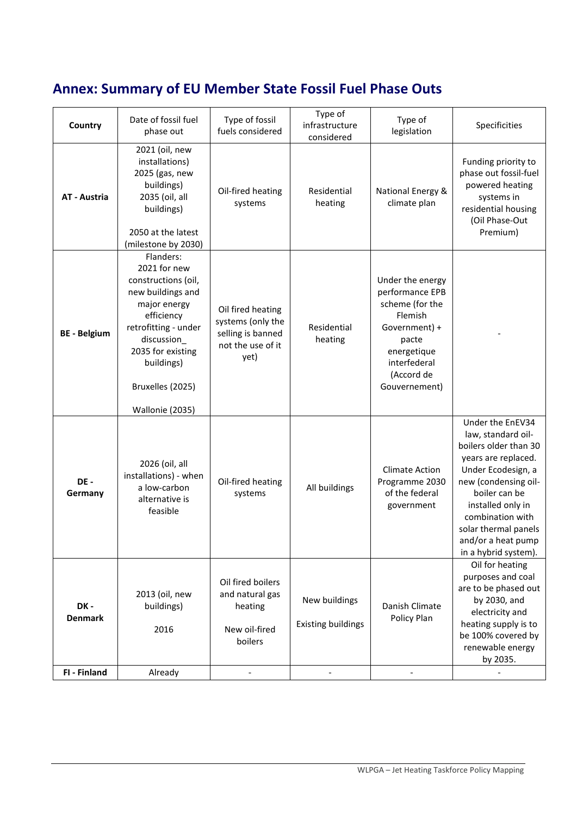## <span id="page-8-0"></span>**Annex: Summary of EU Member State Fossil Fuel Phase Outs**

| Country                | Date of fossil fuel<br>phase out                                                                                                                                                                                     | Type of fossil<br>fuels considered                                                       | Type of<br>infrastructure<br>considered    | Type of<br>legislation                                                                                                                                    | Specificities                                                                                                                                                                                                                                                        |
|------------------------|----------------------------------------------------------------------------------------------------------------------------------------------------------------------------------------------------------------------|------------------------------------------------------------------------------------------|--------------------------------------------|-----------------------------------------------------------------------------------------------------------------------------------------------------------|----------------------------------------------------------------------------------------------------------------------------------------------------------------------------------------------------------------------------------------------------------------------|
| <b>AT - Austria</b>    | 2021 (oil, new<br>installations)<br>2025 (gas, new<br>buildings)<br>2035 (oil, all<br>buildings)<br>2050 at the latest<br>(milestone by 2030)                                                                        | Oil-fired heating<br>systems                                                             | Residential<br>heating                     | National Energy &<br>climate plan                                                                                                                         | Funding priority to<br>phase out fossil-fuel<br>powered heating<br>systems in<br>residential housing<br>(Oil Phase-Out<br>Premium)                                                                                                                                   |
| <b>BE</b> - Belgium    | Flanders:<br>2021 for new<br>constructions (oil,<br>new buildings and<br>major energy<br>efficiency<br>retrofitting - under<br>discussion_<br>2035 for existing<br>buildings)<br>Bruxelles (2025)<br>Wallonie (2035) | Oil fired heating<br>systems (only the<br>selling is banned<br>not the use of it<br>yet) | Residential<br>heating                     | Under the energy<br>performance EPB<br>scheme (for the<br>Flemish<br>Government) +<br>pacte<br>energetique<br>interfederal<br>(Accord de<br>Gouvernement) |                                                                                                                                                                                                                                                                      |
| DE -<br>Germany        | 2026 (oil, all<br>installations) - when<br>a low-carbon<br>alternative is<br>feasible                                                                                                                                | Oil-fired heating<br>systems                                                             | All buildings                              | <b>Climate Action</b><br>Programme 2030<br>of the federal<br>government                                                                                   | Under the EnEV34<br>law, standard oil-<br>boilers older than 30<br>years are replaced.<br>Under Ecodesign, a<br>new (condensing oil-<br>boiler can be<br>installed only in<br>combination with<br>solar thermal panels<br>and/or a heat pump<br>in a hybrid system). |
| DK -<br><b>Denmark</b> | 2013 (oil, new<br>buildings)<br>2016                                                                                                                                                                                 | Oil fired boilers<br>and natural gas<br>heating<br>New oil-fired<br>boilers              | New buildings<br><b>Existing buildings</b> | Danish Climate<br>Policy Plan                                                                                                                             | Oil for heating<br>purposes and coal<br>are to be phased out<br>by 2030, and<br>electricity and<br>heating supply is to<br>be 100% covered by<br>renewable energy<br>by 2035.                                                                                        |
| FI - Finland           | Already                                                                                                                                                                                                              |                                                                                          |                                            |                                                                                                                                                           |                                                                                                                                                                                                                                                                      |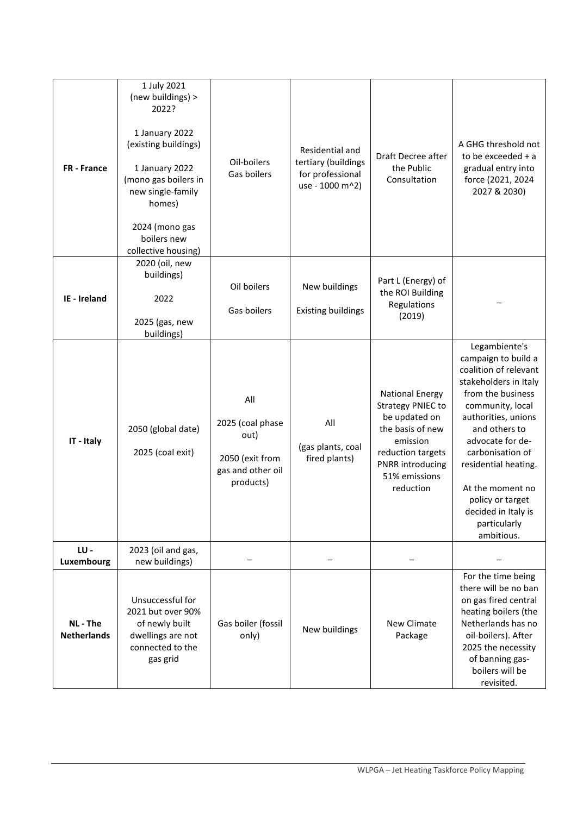| FR - France                    | 1 July 2021<br>(new buildings) ><br>2022?<br>1 January 2022<br>(existing buildings)<br>1 January 2022<br>(mono gas boilers in<br>new single-family<br>homes)<br>2024 (mono gas<br>boilers new<br>collective housing) | Oil-boilers<br>Gas boilers                                                           | Residential and<br>tertiary (buildings<br>for professional<br>use - 1000 m^2) | Draft Decree after<br>the Public<br>Consultation                                                                                                                           | A GHG threshold not<br>to be exceeded + a<br>gradual entry into<br>force (2021, 2024<br>2027 & 2030)                                                                                                                                                                                                                                 |
|--------------------------------|----------------------------------------------------------------------------------------------------------------------------------------------------------------------------------------------------------------------|--------------------------------------------------------------------------------------|-------------------------------------------------------------------------------|----------------------------------------------------------------------------------------------------------------------------------------------------------------------------|--------------------------------------------------------------------------------------------------------------------------------------------------------------------------------------------------------------------------------------------------------------------------------------------------------------------------------------|
| <b>IE</b> - Ireland            | 2020 (oil, new<br>buildings)<br>2022<br>2025 (gas, new<br>buildings)                                                                                                                                                 | Oil boilers<br>Gas boilers                                                           | New buildings<br><b>Existing buildings</b>                                    | Part L (Energy) of<br>the ROI Building<br>Regulations<br>(2019)                                                                                                            |                                                                                                                                                                                                                                                                                                                                      |
| IT - Italy                     | 2050 (global date)<br>2025 (coal exit)                                                                                                                                                                               | All<br>2025 (coal phase<br>out)<br>2050 (exit from<br>gas and other oil<br>products) | All<br>(gas plants, coal<br>fired plants)                                     | <b>National Energy</b><br><b>Strategy PNIEC to</b><br>be updated on<br>the basis of new<br>emission<br>reduction targets<br>PNRR introducing<br>51% emissions<br>reduction | Legambiente's<br>campaign to build a<br>coalition of relevant<br>stakeholders in Italy<br>from the business<br>community, local<br>authorities, unions<br>and others to<br>advocate for de-<br>carbonisation of<br>residential heating.<br>At the moment no<br>policy or target<br>decided in Italy is<br>particularly<br>ambitious. |
| LU-<br>Luxembourg              | 2023 (oil and gas,<br>new buildings)                                                                                                                                                                                 |                                                                                      |                                                                               |                                                                                                                                                                            |                                                                                                                                                                                                                                                                                                                                      |
| NL - The<br><b>Netherlands</b> | Unsuccessful for<br>2021 but over 90%<br>of newly built<br>dwellings are not<br>connected to the<br>gas grid                                                                                                         | Gas boiler (fossil<br>only)                                                          | New buildings                                                                 | New Climate<br>Package                                                                                                                                                     | For the time being<br>there will be no ban<br>on gas fired central<br>heating boilers (the<br>Netherlands has no<br>oil-boilers). After<br>2025 the necessity<br>of banning gas-<br>boilers will be<br>revisited.                                                                                                                    |